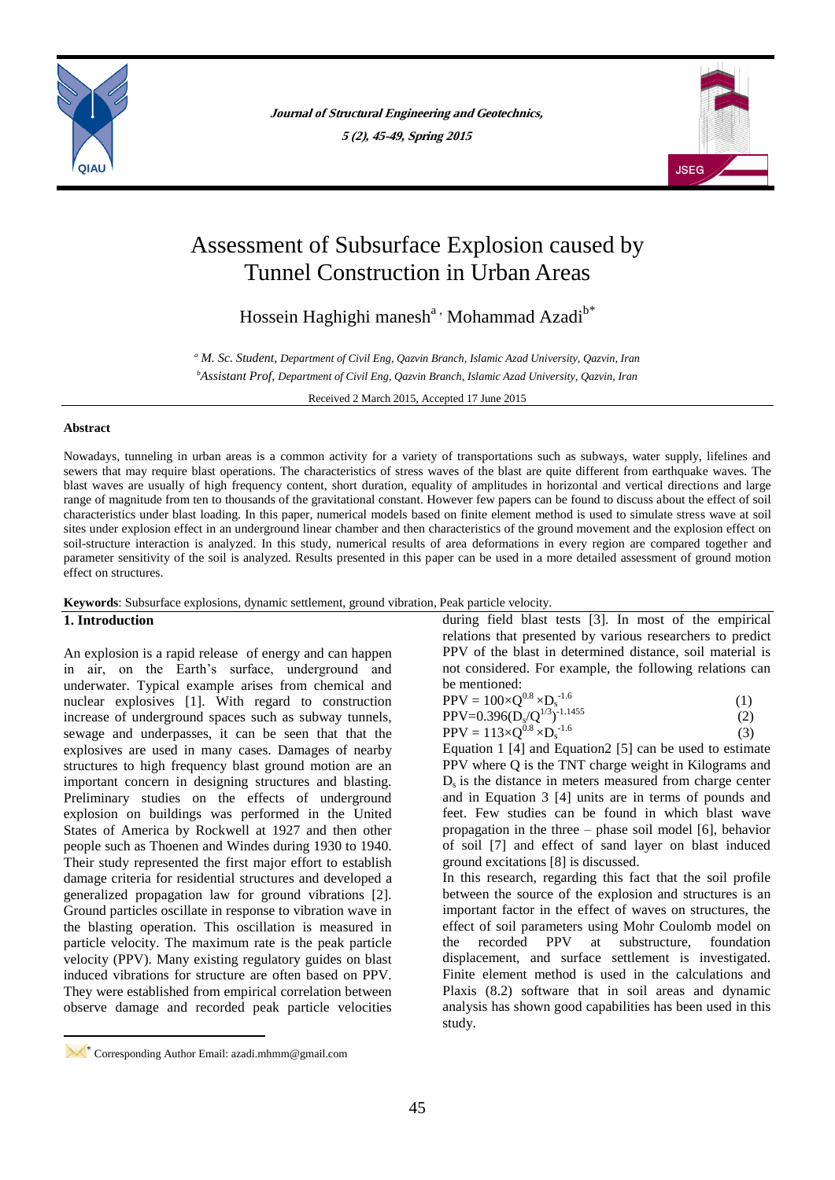

**Journal of Structural Engineering and Geotechnics, 5 (2), 45-49, Spring 2015**



# Assessment of Subsurface Explosion caused by Tunnel Construction in Urban Areas

Hossein Haghighi manesh<sup>a,</sup> Mohammad Azadi<sup>b\*</sup>

*<sup>a</sup> M. Sc. Student, Department of Civil Eng, Qazvin Branch, Islamic Azad University, Qazvin, Iran <sup>b</sup>Assistant Prof, Department of Civil Eng, Qazvin Branch, Islamic Azad University, Qazvin, Iran*

Received 2 March 2015, Accepted 17 June 2015

### **Abstract**

Nowadays, tunneling in urban areas is a common activity for a variety of transportations such as subways, water supply, lifelines and sewers that may require blast operations. The characteristics of stress waves of the blast are quite different from earthquake waves. The blast waves are usually of high frequency content, short duration, equality of amplitudes in horizontal and vertical directions and large range of magnitude from ten to thousands of the gravitational constant. However few papers can be found to discuss about the effect of soil characteristics under blast loading. In this paper, numerical models based on finite element method is used to simulate stress wave at soil sites under explosion effect in an underground linear chamber and then characteristics of the ground movement and the explosion effect on soil-structure interaction is analyzed. In this study, numerical results of area deformations in every region are compared together and parameter sensitivity of the soil is analyzed. Results presented in this paper can be used in a more detailed assessment of ground motion effect on structures.

**Keywords**: Subsurface explosions, dynamic settlement, ground vibration, Peak particle velocity.

# **1. Introduction**

**.** 

An explosion is a rapid release of energy and can happen in air, on the Earth's surface, underground and underwater. Typical example arises from chemical and nuclear explosives [1]. With regard to construction increase of underground spaces such as subway tunnels, sewage and underpasses, it can be seen that that the explosives are used in many cases. Damages of nearby structures to high frequency blast ground motion are an important concern in designing structures and blasting. Preliminary studies on the effects of underground explosion on buildings was performed in the United States of America by Rockwell at 1927 and then other people such as Thoenen and Windes during 1930 to 1940. Their study represented the first major effort to establish damage criteria for residential structures and developed a generalized propagation law for ground vibrations [2]. Ground particles oscillate in response to vibration wave in the blasting operation. This oscillation is measured in particle velocity. The maximum rate is the peak particle velocity (PPV). Many existing regulatory guides on blast induced vibrations for structure are often based on PPV. They were established from empirical correlation between observe damage and recorded peak particle velocities

during field blast tests [3]. In most of the empirical relations that presented by various researchers to predict PPV of the blast in determined distance, soil material is not considered. For example, the following relations can be mentioned:

| $PPV = 100 \times Q^{0.8} \times D_s^{-1.6}$ |  |
|----------------------------------------------|--|
| $PPV=0.396(Ds/Q1/3)-1.1455$                  |  |

 $PPV = 113 \times Q^{0.8} \times D_s^{-1.6}$ (3)

Equation 1 [4] and Equation2 [5] can be used to estimate PPV where Q is the TNT charge weight in Kilograms and  $D<sub>s</sub>$  is the distance in meters measured from charge center and in Equation 3 [4] units are in terms of pounds and feet. Few studies can be found in which blast wave propagation in the three – phase soil model [6], behavior of soil [7] and effect of sand layer on blast induced ground excitations [8] is discussed.

In this research, regarding this fact that the soil profile between the source of the explosion and structures is an important factor in the effect of waves on structures, the effect of soil parameters using Mohr Coulomb model on the recorded PPV at substructure, foundation displacement, and surface settlement is investigated. Finite element method is used in the calculations and Plaxis (8.2) software that in soil areas and dynamic analysis has shown good capabilities has been used in this study.

Corresponding Author Email: azadi.mhmm@gmail.com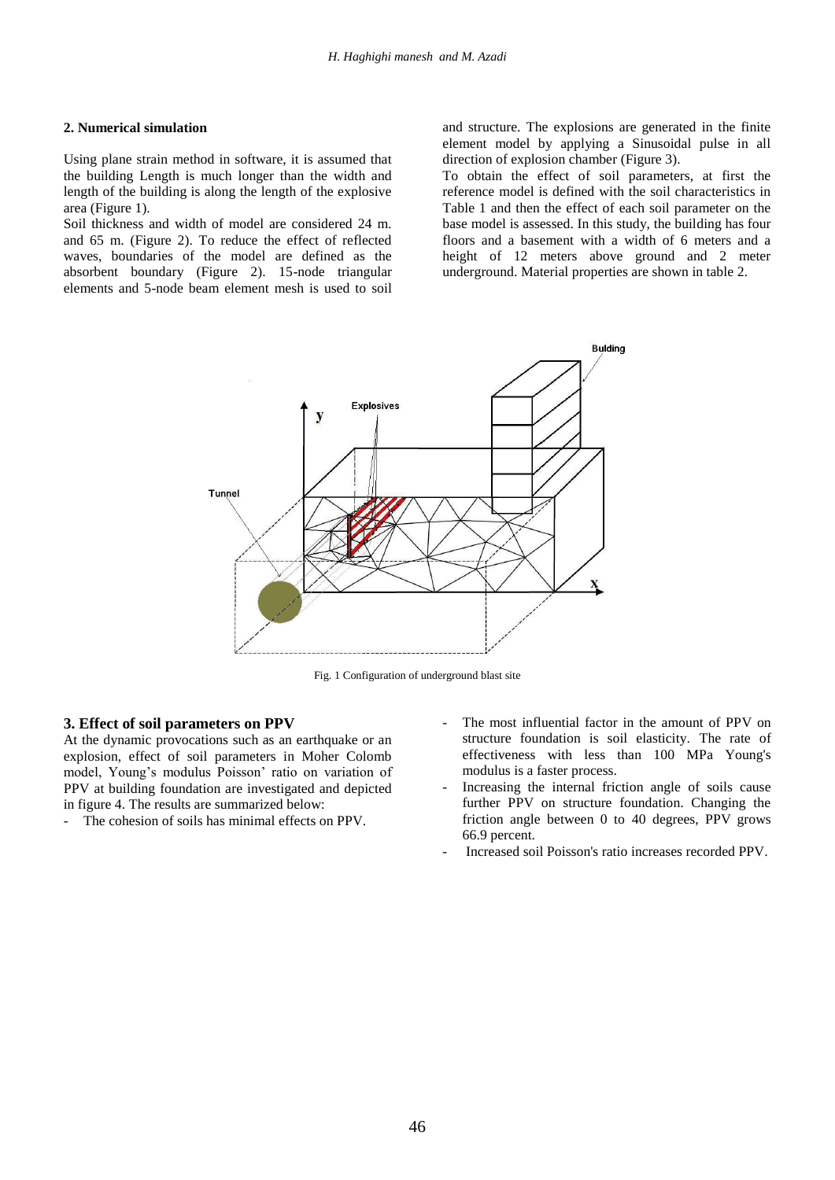#### **2. Numerical simulation**

Using plane strain method in software, it is assumed that the building Length is much longer than the width and length of the building is along the length of the explosive area (Figure 1).

Soil thickness and width of model are considered 24 m. and 65 m. (Figure 2). To reduce the effect of reflected waves, boundaries of the model are defined as the absorbent boundary (Figure 2). 15-node triangular elements and 5-node beam element mesh is used to soil

and structure. The explosions are generated in the finite element model by applying a Sinusoidal pulse in all direction of explosion chamber (Figure 3).

To obtain the effect of soil parameters, at first the reference model is defined with the soil characteristics in Table 1 and then the effect of each soil parameter on the base model is assessed. In this study, the building has four floors and a basement with a width of 6 meters and a height of 12 meters above ground and 2 meter underground. Material properties are shown in table 2.



Fig. 1 Configuration of underground blast site

## **3. Effect of soil parameters on PPV**

At the dynamic provocations such as an earthquake or an explosion, effect of soil parameters in Moher Colomb model, Young's modulus Poisson' ratio on variation of PPV at building foundation are investigated and depicted in figure 4. The results are summarized below:

The cohesion of soils has minimal effects on PPV.

- The most influential factor in the amount of PPV on structure foundation is soil elasticity. The rate of effectiveness with less than 100 MPa Young's modulus is a faster process.
- Increasing the internal friction angle of soils cause further PPV on structure foundation. Changing the friction angle between 0 to 40 degrees, PPV grows 66.9 percent.
- Increased soil Poisson's ratio increases recorded PPV.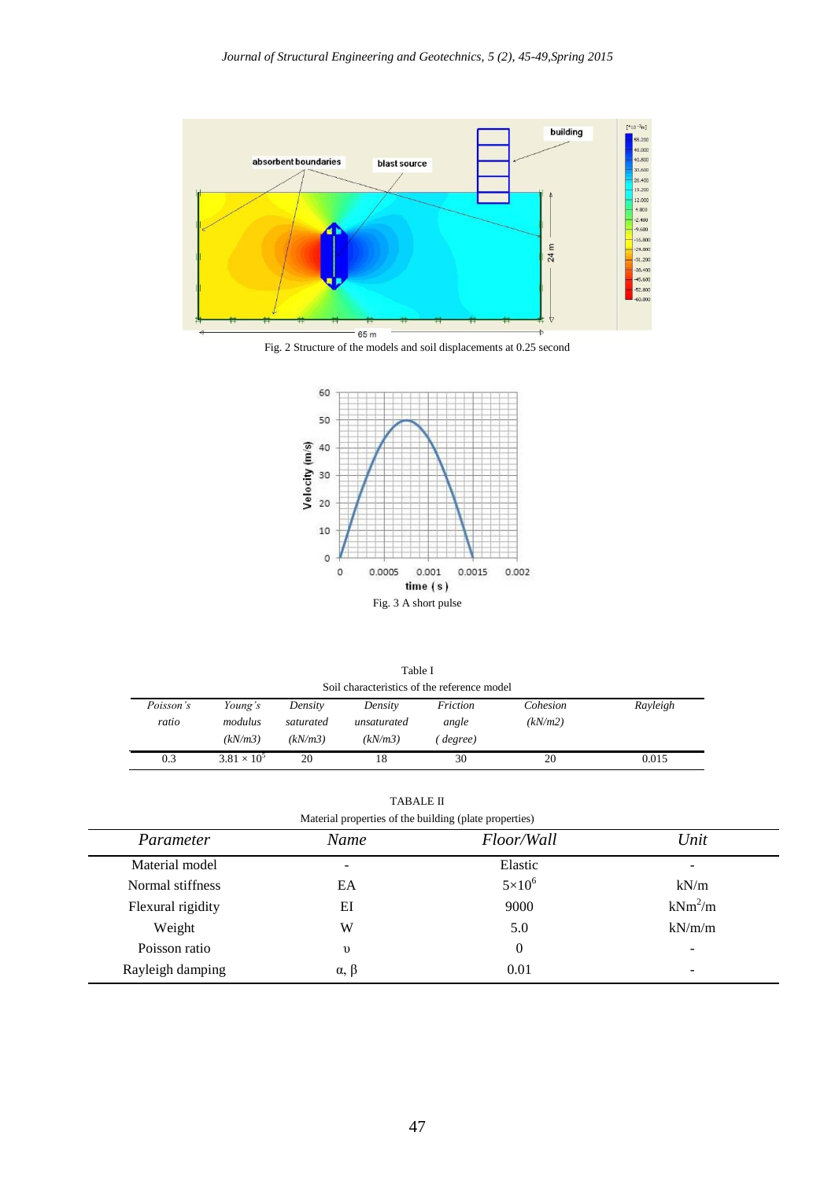

Fig. 2 Structure of the models and soil displacements at 0.25 second



| Table I                                     |                      |           |             |          |          |          |  |  |
|---------------------------------------------|----------------------|-----------|-------------|----------|----------|----------|--|--|
| Soil characteristics of the reference model |                      |           |             |          |          |          |  |  |
| Poisson's                                   | Young's              | Density   | Density     | Friction | Cohesion | Rayleigh |  |  |
| ratio                                       | modulus              | saturated | unsaturated | angle    | (kN/m2)  |          |  |  |
|                                             | (kN/m3)              | (kN/m3)   | (kN/m3)     | degree)  |          |          |  |  |
| 0.3                                         | $3.81 \times 10^{5}$ | 20        | 18          | 30       | 20       | 0.015    |  |  |

TABALE II

| Material properties of the building (plate properties) |                 |               |           |  |  |  |
|--------------------------------------------------------|-----------------|---------------|-----------|--|--|--|
| Parameter                                              | Name            | Floor/Wall    | Unit      |  |  |  |
| Material model                                         | -               | Elastic       | -         |  |  |  |
| Normal stiffness                                       | EA              | $5\times10^6$ | kN/m      |  |  |  |
| Flexural rigidity                                      | ΕI              | 9000          | $kNm^2/m$ |  |  |  |
| Weight                                                 | W               | 5.0           | kN/m/m    |  |  |  |
| Poisson ratio                                          | $\upsilon$      | $\theta$      | -         |  |  |  |
| Rayleigh damping                                       | $\alpha, \beta$ | 0.01          | -         |  |  |  |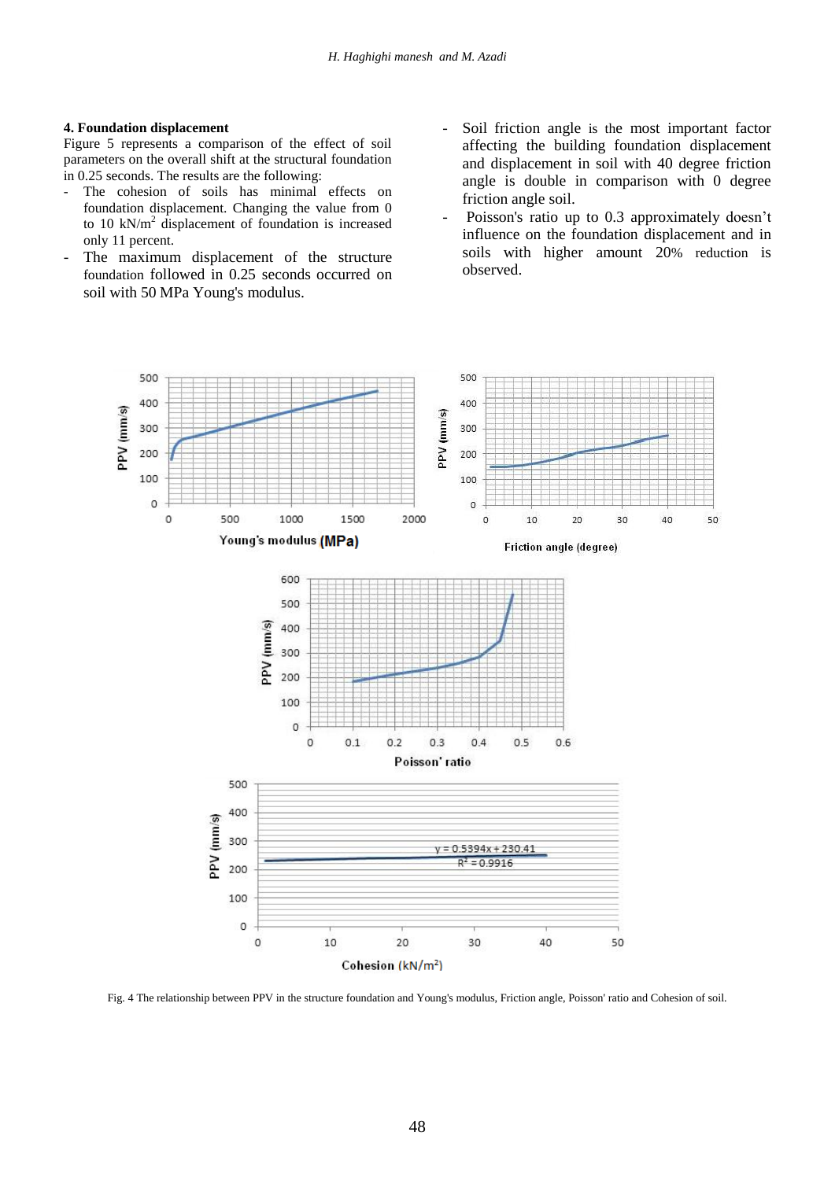## **4. Foundation displacement**

Figure 5 represents a comparison of the effect of soil parameters on the overall shift at the structural foundation in 0.25 seconds. The results are the following:

- The cohesion of soils has minimal effects on foundation displacement. Changing the value from 0 to 10 kN/ $m<sup>2</sup>$  displacement of foundation is increased only 11 percent.
- The maximum displacement of the structure foundation followed in 0.25 seconds occurred on soil with 50 MPa Young's modulus.
- Soil friction angle is the most important factor affecting the building foundation displacement and displacement in soil with 40 degree friction angle is double in comparison with 0 degree friction angle soil.
- Poisson's ratio up to 0.3 approximately doesn't influence on the foundation displacement and in soils with higher amount 20% reduction is observed.



Fig. 4 The relationship between PPV in the structure foundation and Young's modulus, Friction angle, Poisson' ratio and Cohesion of soil.